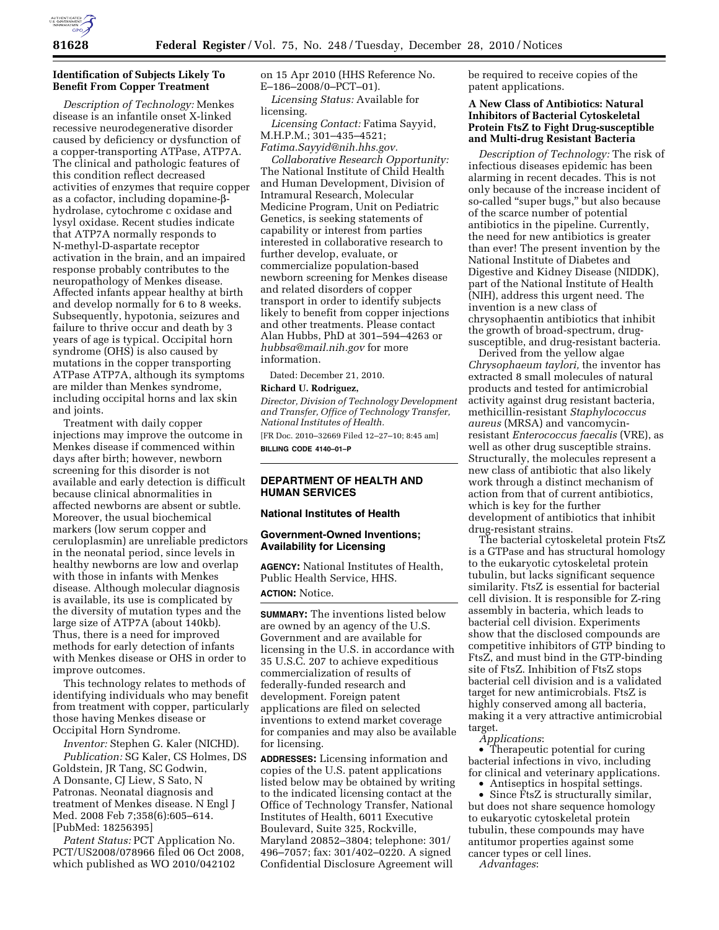

## **Identification of Subjects Likely To Benefit From Copper Treatment**

*Description of Technology:* Menkes disease is an infantile onset X-linked recessive neurodegenerative disorder caused by deficiency or dysfunction of a copper-transporting ATPase, ATP7A. The clinical and pathologic features of this condition reflect decreased activities of enzymes that require copper as a cofactor, including dopamine-bhydrolase, cytochrome c oxidase and lysyl oxidase. Recent studies indicate that ATP7A normally responds to N-methyl-D-aspartate receptor activation in the brain, and an impaired response probably contributes to the neuropathology of Menkes disease. Affected infants appear healthy at birth and develop normally for 6 to 8 weeks. Subsequently, hypotonia, seizures and failure to thrive occur and death by 3 years of age is typical. Occipital horn syndrome (OHS) is also caused by mutations in the copper transporting ATPase ATP7A, although its symptoms are milder than Menkes syndrome, including occipital horns and lax skin and joints.

Treatment with daily copper injections may improve the outcome in Menkes disease if commenced within days after birth; however, newborn screening for this disorder is not available and early detection is difficult because clinical abnormalities in affected newborns are absent or subtle. Moreover, the usual biochemical markers (low serum copper and ceruloplasmin) are unreliable predictors in the neonatal period, since levels in healthy newborns are low and overlap with those in infants with Menkes disease. Although molecular diagnosis is available, its use is complicated by the diversity of mutation types and the large size of ATP7A (about 140kb). Thus, there is a need for improved methods for early detection of infants with Menkes disease or OHS in order to improve outcomes.

This technology relates to methods of identifying individuals who may benefit from treatment with copper, particularly those having Menkes disease or Occipital Horn Syndrome.

*Inventor:* Stephen G. Kaler (NICHD).

*Publication:* SG Kaler, CS Holmes, DS Goldstein, JR Tang, SC Godwin, A Donsante, CJ Liew, S Sato, N Patronas. Neonatal diagnosis and treatment of Menkes disease. N Engl J Med. 2008 Feb 7;358(6):605–614. [PubMed: 18256395]

*Patent Status:* PCT Application No. PCT/US2008/078966 filed 06 Oct 2008, which published as WO 2010/042102

on 15 Apr 2010 (HHS Reference No. E–186–2008/0–PCT–01).

*Licensing Status:* Available for licensing.

*Licensing Contact:* Fatima Sayyid, M.H.P.M.; 301–435–4521; *[Fatima.Sayyid@nih.hhs.gov.](mailto:Fatima.Sayyid@nih.hhs.gov)* 

*Collaborative Research Opportunity:*  The National Institute of Child Health and Human Development, Division of Intramural Research, Molecular Medicine Program, Unit on Pediatric Genetics, is seeking statements of capability or interest from parties interested in collaborative research to further develop, evaluate, or commercialize population-based newborn screening for Menkes disease and related disorders of copper transport in order to identify subjects likely to benefit from copper injections and other treatments. Please contact Alan Hubbs, PhD at 301–594–4263 or *[hubbsa@mail.nih.gov](mailto:hubbsa@mail.nih.gov)* for more information.

Dated: December 21, 2010.

#### **Richard U. Rodriguez,**

*Director, Division of Technology Development and Transfer, Office of Technology Transfer, National Institutes of Health.* 

[FR Doc. 2010–32669 Filed 12–27–10; 8:45 am] **BILLING CODE 4140–01–P** 

#### **DEPARTMENT OF HEALTH AND HUMAN SERVICES**

#### **National Institutes of Health**

#### **Government-Owned Inventions; Availability for Licensing**

**AGENCY:** National Institutes of Health, Public Health Service, HHS.

# **ACTION:** Notice.

**SUMMARY:** The inventions listed below are owned by an agency of the U.S. Government and are available for licensing in the U.S. in accordance with 35 U.S.C. 207 to achieve expeditious commercialization of results of federally-funded research and development. Foreign patent applications are filed on selected inventions to extend market coverage for companies and may also be available for licensing.

**ADDRESSES:** Licensing information and copies of the U.S. patent applications listed below may be obtained by writing to the indicated licensing contact at the Office of Technology Transfer, National Institutes of Health, 6011 Executive Boulevard, Suite 325, Rockville, Maryland 20852–3804; telephone: 301/ 496–7057; fax: 301/402–0220. A signed Confidential Disclosure Agreement will

be required to receive copies of the patent applications.

#### **A New Class of Antibiotics: Natural Inhibitors of Bacterial Cytoskeletal Protein FtsZ to Fight Drug-susceptible and Multi-drug Resistant Bacteria**

*Description of Technology:* The risk of infectious diseases epidemic has been alarming in recent decades. This is not only because of the increase incident of so-called ''super bugs,'' but also because of the scarce number of potential antibiotics in the pipeline. Currently, the need for new antibiotics is greater than ever! The present invention by the National Institute of Diabetes and Digestive and Kidney Disease (NIDDK), part of the National Institute of Health (NIH), address this urgent need. The invention is a new class of chrysophaentin antibiotics that inhibit the growth of broad-spectrum, drugsusceptible, and drug-resistant bacteria.

Derived from the yellow algae *Chrysophaeum taylori,* the inventor has extracted 8 small molecules of natural products and tested for antimicrobial activity against drug resistant bacteria, methicillin-resistant *Staphylococcus aureus* (MRSA) and vancomycinresistant *Enterococcus faecalis* (VRE), as well as other drug susceptible strains. Structurally, the molecules represent a new class of antibiotic that also likely work through a distinct mechanism of action from that of current antibiotics, which is key for the further development of antibiotics that inhibit drug-resistant strains.

The bacterial cytoskeletal protein FtsZ is a GTPase and has structural homology to the eukaryotic cytoskeletal protein tubulin, but lacks significant sequence similarity. FtsZ is essential for bacterial cell division. It is responsible for Z-ring assembly in bacteria, which leads to bacterial cell division. Experiments show that the disclosed compounds are competitive inhibitors of GTP binding to FtsZ, and must bind in the GTP-binding site of FtsZ. Inhibition of FtsZ stops bacterial cell division and is a validated target for new antimicrobials. FtsZ is highly conserved among all bacteria, making it a very attractive antimicrobial target.

*Applications*:

• Therapeutic potential for curing bacterial infections in vivo, including for clinical and veterinary applications.

• Antiseptics in hospital settings.

• Since FtsZ is structurally similar, but does not share sequence homology to eukaryotic cytoskeletal protein tubulin, these compounds may have antitumor properties against some cancer types or cell lines.

*Advantages*: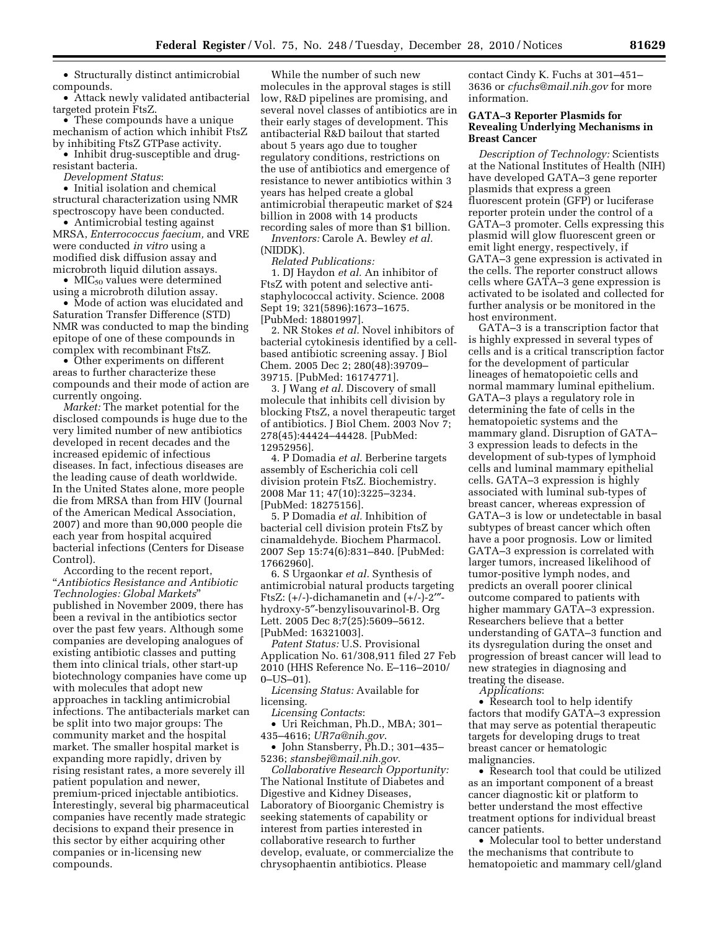• Structurally distinct antimicrobial compounds.

• Attack newly validated antibacterial targeted protein FtsZ.

• These compounds have a unique mechanism of action which inhibit FtsZ by inhibiting FtsZ GTPase activity.

• Inhibit drug-susceptible and drugresistant bacteria.

*Development Status*:

• Initial isolation and chemical structural characterization using NMR spectroscopy have been conducted.

• Antimicrobial testing against MRSA, *Enterrococcus faecium,* and VRE were conducted *in vitro* using a modified disk diffusion assay and microbroth liquid dilution assays.

• MIC<sub>50</sub> values were determined using a microbroth dilution assay.

• Mode of action was elucidated and Saturation Transfer Difference (STD) NMR was conducted to map the binding epitope of one of these compounds in complex with recombinant FtsZ.

• Other experiments on different areas to further characterize these compounds and their mode of action are currently ongoing.

*Market:* The market potential for the disclosed compounds is huge due to the very limited number of new antibiotics developed in recent decades and the increased epidemic of infectious diseases. In fact, infectious diseases are the leading cause of death worldwide. In the United States alone, more people die from MRSA than from HIV (Journal of the American Medical Association, 2007) and more than 90,000 people die each year from hospital acquired bacterial infections (Centers for Disease Control).

According to the recent report, ''*Antibiotics Resistance and Antibiotic Technologies: Global Markets*'' published in November 2009, there has been a revival in the antibiotics sector over the past few years. Although some companies are developing analogues of existing antibiotic classes and putting them into clinical trials, other start-up biotechnology companies have come up with molecules that adopt new approaches in tackling antimicrobial infections. The antibacterials market can be split into two major groups: The community market and the hospital market. The smaller hospital market is expanding more rapidly, driven by rising resistant rates, a more severely ill patient population and newer, premium-priced injectable antibiotics. Interestingly, several big pharmaceutical companies have recently made strategic decisions to expand their presence in this sector by either acquiring other companies or in-licensing new compounds.

While the number of such new molecules in the approval stages is still low, R&D pipelines are promising, and several novel classes of antibiotics are in their early stages of development. This antibacterial R&D bailout that started about 5 years ago due to tougher regulatory conditions, restrictions on the use of antibiotics and emergence of resistance to newer antibiotics within 3 years has helped create a global antimicrobial therapeutic market of \$24 billion in 2008 with 14 products recording sales of more than \$1 billion.

*Inventors:* Carole A. Bewley *et al.*  (NIDDK).

*Related Publications:* 

1. DJ Haydon *et al.* An inhibitor of FtsZ with potent and selective antistaphylococcal activity. Science. 2008 Sept 19; 321(5896):1673–1675. [PubMed: 18801997].

2. NR Stokes *et al.* Novel inhibitors of bacterial cytokinesis identified by a cellbased antibiotic screening assay. J Biol Chem. 2005 Dec 2; 280(48):39709– 39715. [PubMed: 16174771].

3. J Wang *et al.* Discovery of small molecule that inhibits cell division by blocking FtsZ, a novel therapeutic target of antibiotics. J Biol Chem. 2003 Nov 7; 278(45):44424–44428. [PubMed: 12952956].

4. P Domadia *et al.* Berberine targets assembly of Escherichia coli cell division protein FtsZ. Biochemistry. 2008 Mar 11; 47(10):3225–3234. [PubMed: 18275156].

5. P Domadia *et al.* Inhibition of bacterial cell division protein FtsZ by cinamaldehyde. Biochem Pharmacol. 2007 Sep 15:74(6):831–840. [PubMed: 17662960].

6. S Urgaonkar *et al.* Synthesis of antimicrobial natural products targeting FtsZ: (+/-)-dichamanetin and (+/-)-2′″ hydroxy-5″-benzylisouvarinol-B. Org Lett. 2005 Dec 8;7(25):5609–5612. [PubMed: 16321003].

*Patent Status:* U.S. Provisional Application No. 61/308,911 filed 27 Feb 2010 (HHS Reference No. E–116–2010/ 0–US–01).

*Licensing Status:* Available for licensing.

*Licensing Contacts*:

• Uri Reichman, Ph.D., MBA; 301– 435–4616; *[UR7a@nih.gov](mailto:UR7a@nih.gov)*.

• John Stansberry, Ph.D.; 301–435– 5236; *[stansbej@mail.nih.gov](mailto:stansbej@mail.nih.gov)*.

*Collaborative Research Opportunity:*  The National Institute of Diabetes and Digestive and Kidney Diseases, Laboratory of Bioorganic Chemistry is seeking statements of capability or interest from parties interested in collaborative research to further develop, evaluate, or commercialize the chrysophaentin antibiotics. Please

contact Cindy K. Fuchs at 301–451– 3636 or *[cfuchs@mail.nih.gov](mailto:cfuchs@mail.nih.gov)* for more information.

#### **GATA–3 Reporter Plasmids for Revealing Underlying Mechanisms in Breast Cancer**

*Description of Technology:* Scientists at the National Institutes of Health (NIH) have developed GATA–3 gene reporter plasmids that express a green fluorescent protein (GFP) or luciferase reporter protein under the control of a GATA–3 promoter. Cells expressing this plasmid will glow fluorescent green or emit light energy, respectively, if GATA–3 gene expression is activated in the cells. The reporter construct allows cells where GATA–3 gene expression is activated to be isolated and collected for further analysis or be monitored in the host environment.

GATA–3 is a transcription factor that is highly expressed in several types of cells and is a critical transcription factor for the development of particular lineages of hematopoietic cells and normal mammary luminal epithelium. GATA–3 plays a regulatory role in determining the fate of cells in the hematopoietic systems and the mammary gland. Disruption of GATA– 3 expression leads to defects in the development of sub-types of lymphoid cells and luminal mammary epithelial cells. GATA–3 expression is highly associated with luminal sub-types of breast cancer, whereas expression of GATA–3 is low or undetectable in basal subtypes of breast cancer which often have a poor prognosis. Low or limited GATA–3 expression is correlated with larger tumors, increased likelihood of tumor-positive lymph nodes, and predicts an overall poorer clinical outcome compared to patients with higher mammary GATA–3 expression. Researchers believe that a better understanding of GATA–3 function and its dysregulation during the onset and progression of breast cancer will lead to new strategies in diagnosing and treating the disease.

*Applications*:

• Research tool to help identify factors that modify GATA–3 expression that may serve as potential therapeutic targets for developing drugs to treat breast cancer or hematologic malignancies.

• Research tool that could be utilized as an important component of a breast cancer diagnostic kit or platform to better understand the most effective treatment options for individual breast cancer patients.

• Molecular tool to better understand the mechanisms that contribute to hematopoietic and mammary cell/gland